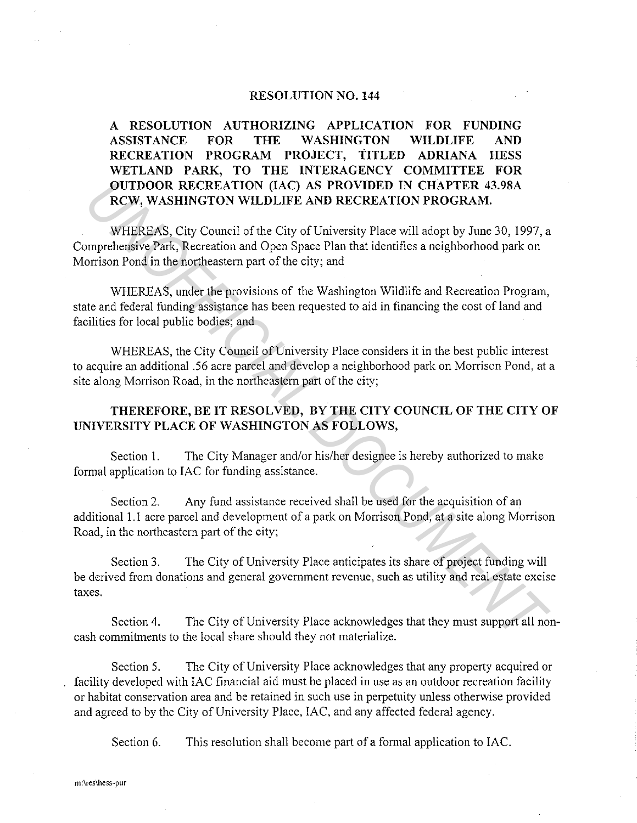## **RESOLUTION NO. 144**

**A RESOLUTION AUTHORIZING APPLICATION FOR FUNDING ASSISTANCE FOR THE WASHINGTON WILDLIFE AND RECREATION PROGRAM PROJECT, TITLED ADRIANA HESS WETLAND PARK, TO THE INTERAGENCY COMMITTEE FOR OUTDOOR RECREATION (IAC) AS PROVIDED IN CHAPTER 43.98A RCW, WASHINGTON WILDLIFE AND RECREATION PROGRAM.** 

WHEREAS, City Council of the City of University Place will adopt by June 30, 1997, a Comprehensive Park, Recreation and Open Space Plan that identifies a neighborhood park on Morrison Pond in the northeastern part of the city; and **OUTDOOR RECREATION (IAC) AS PROVIDED IN CHAPTER 43.98A<br>
RCW, WASHINGTON WILDLIFE AND RECREATION PROGRAM.**<br>
WHEREAS, City Council of the City of University Place will adopt by June 30, 1997, a<br>
primprehensive Park, Recreat

WHEREAS, under the provisions of the Washington Wildlife and Recreation Program, state and federal funding assistance has been requested to aid in financing the cost of land and facilities for local public bodies; and

WHEREAS, the City Council of University Place considers it in the best public interest to acquire an additional .56 acre parcel and develop a neighborhood park on Morrison Pond, at a site along Morrison Road, in the northeastern part of the city;

## **THEREFORE, BE IT RESOLVED, BY THE CITY COUNCIL OF THE CITY OF UNIVERSITY PLACE OF WASHINGTON AS FOLLOWS,**

Section I. The City Manager and/or his/her designee is hereby authorized to make formal application to IAC for funding assistance.

Section 2. Any fund assistance received shall be used for the acquisition of an additional I. I acre parcel and development of a park on Morrison Pond, at a site along Morrison Road, in the northeastern part of the city;

Section 3. The City of University Place anticipates its share of project funding will be derived from donations and general government revenue, such as utility and real estate excise taxes.

Section 4. The City of University Place acknowledges that they must support all noncash commitments to the local share should they not materialize.

Section 5. The City of University Place acknowledges that any property acquired or facility developed with IAC financial aid must be placed in use as an outdoor recreation facility or habitat conservation area and be retained in such use in perpetuity unless otherwise provided and agreed to by the City of University Place, !AC, and any affected federal agency.

Section 6. This resolution shall become part of a formal application to IAC.